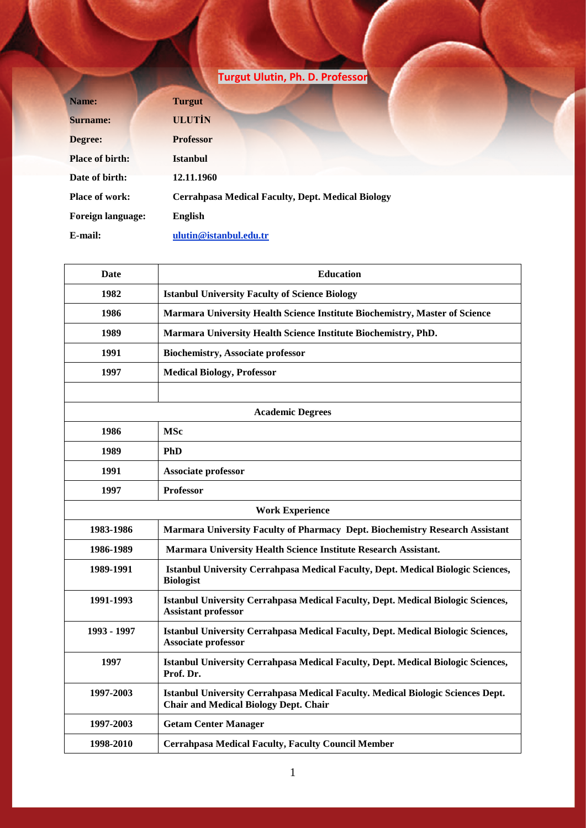|                          | Turgut Ulutin, Ph. D. Professor                          |  |
|--------------------------|----------------------------------------------------------|--|
| Name:                    | <b>Turgut</b>                                            |  |
| <b>Surname:</b>          | <b>ULUTIN</b>                                            |  |
| Degree:                  | <b>Professor</b>                                         |  |
| <b>Place of birth:</b>   | <b>Istanbul</b>                                          |  |
| Date of birth:           | 12.11.1960                                               |  |
| <b>Place of work:</b>    | <b>Cerrahpasa Medical Faculty, Dept. Medical Biology</b> |  |
| <b>Foreign language:</b> | English                                                  |  |
| E-mail:                  | ulutin@istanbul.edu.tr                                   |  |

| <b>Date</b>             | <b>Education</b>                                                                                                                |  |
|-------------------------|---------------------------------------------------------------------------------------------------------------------------------|--|
| 1982                    | <b>Istanbul University Faculty of Science Biology</b>                                                                           |  |
| 1986                    | Marmara University Health Science Institute Biochemistry, Master of Science                                                     |  |
| 1989                    | Marmara University Health Science Institute Biochemistry, PhD.                                                                  |  |
| 1991                    | <b>Biochemistry, Associate professor</b>                                                                                        |  |
| 1997                    | <b>Medical Biology, Professor</b>                                                                                               |  |
|                         |                                                                                                                                 |  |
| <b>Academic Degrees</b> |                                                                                                                                 |  |
| 1986                    | <b>MSc</b>                                                                                                                      |  |
| 1989                    | <b>PhD</b>                                                                                                                      |  |
| 1991                    | Associate professor                                                                                                             |  |
| 1997                    | <b>Professor</b>                                                                                                                |  |
| <b>Work Experience</b>  |                                                                                                                                 |  |
| 1983-1986               | Marmara University Faculty of Pharmacy Dept. Biochemistry Research Assistant                                                    |  |
| 1986-1989               | Marmara University Health Science Institute Research Assistant.                                                                 |  |
| 1989-1991               | Istanbul University Cerrahpasa Medical Faculty, Dept. Medical Biologic Sciences,<br><b>Biologist</b>                            |  |
| 1991-1993               | Istanbul University Cerrahpasa Medical Faculty, Dept. Medical Biologic Sciences,<br><b>Assistant professor</b>                  |  |
| 1993 - 1997             | Istanbul University Cerrahpasa Medical Faculty, Dept. Medical Biologic Sciences,<br>Associate professor                         |  |
| 1997                    | Istanbul University Cerrahpasa Medical Faculty, Dept. Medical Biologic Sciences,<br>Prof. Dr.                                   |  |
| 1997-2003               | Istanbul University Cerrahpasa Medical Faculty. Medical Biologic Sciences Dept.<br><b>Chair and Medical Biology Dept. Chair</b> |  |
| 1997-2003               | <b>Getam Center Manager</b>                                                                                                     |  |
| 1998-2010               | <b>Cerrahpasa Medical Faculty, Faculty Council Member</b>                                                                       |  |